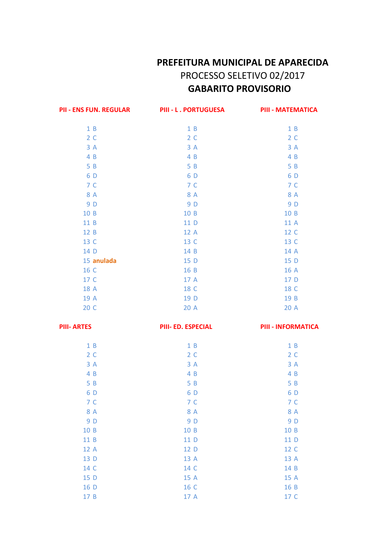## PREFEITURA MUNICIPAL DE APARECIDA PROCESSO SELETIVO 02/2017 **GABARITO PROVISORIO**

| <b>PII - ENS FUN. REGULAR</b> | <b>PIII - L. PORTUGUESA</b> | <b>PIII - MATEMATICA</b>  |
|-------------------------------|-----------------------------|---------------------------|
| 1B                            | 1B                          | 1B                        |
| 2 <sub>c</sub>                | 2 <sub>c</sub>              | 2C                        |
| 3A                            | 3A                          | 3A                        |
| 4 B                           | 4 B                         | 4 B                       |
| 5 B                           | 5 B                         | 5 B                       |
| 6 D                           | 6 D                         | 6 D                       |
| 7 C                           | 7 C                         | 7 C                       |
| 8 A                           | 8 A                         | 8 A                       |
| 9 D                           | 9 D                         | 9 D                       |
| 10 B                          | 10 B                        | 10 B                      |
| 11 B                          | 11 D                        | 11 A                      |
| 12 B                          | 12 A                        | 12 C                      |
| 13 C                          | 13 C                        | 13 C                      |
| 14 D                          | 14 B                        | 14 A                      |
| 15 anulada                    | 15 D                        | 15 D                      |
| 16 C                          | 16 B                        | 16 A                      |
| 17 C                          | 17 A                        | 17 D                      |
| 18 A                          | 18 C                        | 18 C                      |
| 19 A                          | 19 D                        | 19 B                      |
| 20 C                          | 20 A                        | 20 A                      |
| <b>PIII- ARTES</b>            | PIII- ED. ESPECIAL          | <b>PIII - INFORMATICA</b> |
| 1B                            |                             |                           |
|                               | 1B                          | 1B                        |
| 2 <sub>c</sub>                | 2 <sub>c</sub>              | 2 <sub>c</sub>            |
| 3A                            | 3A                          | 3A                        |
| 4 B                           | 4 B                         | 4 B                       |
| 5 B                           | 5 B                         | 5 B                       |
| 6 D                           | 6 D                         | 6 D                       |
| 7 C                           | 7 C                         | 7 C                       |
| 8 A                           | 8 A                         | 8 A                       |
| 9 D                           | 9 D                         | 9 D                       |
| 10 B                          | 10 B                        | 10 B                      |
| 11 B                          | 11 D                        | 11 D                      |
| 12 A                          | 12 D                        | 12 C                      |
| 13 D                          | 13 A                        | 13 A                      |
| 14 C                          | 14 C                        | 14 B                      |
| 15 D                          | 15 A                        | 15 A                      |
| 16 D                          | 16 C                        | 16 B                      |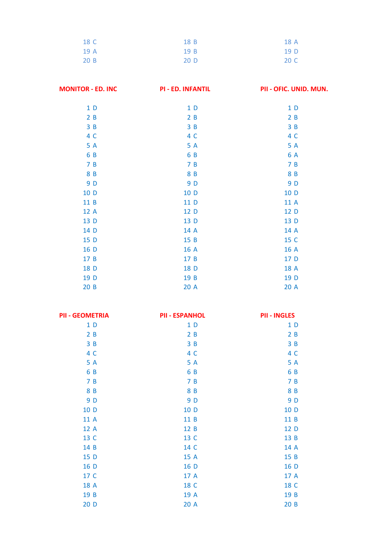| 18 C | 18 B | 18 A |
|------|------|------|
| 19 A | 19B  | 19 D |
| 20 B | 20 D | 20 C |

| <b>MONITOR - ED. INC</b> | <b>PI-ED. INFANTIL</b> | PII - OFIC. UNID. MUN. |
|--------------------------|------------------------|------------------------|
| 1D                       | 1 <sub>D</sub>         | 1 <sub>D</sub>         |
| 2B                       | 2B                     | 2B                     |
| 3B                       | 3B                     | 3B                     |
| 4 C                      | 4 C                    | 4 C                    |
| 5 A                      | 5 A                    | 5 A                    |
| 6 B                      | 6 B                    | 6 A                    |
| 7B                       | 7B                     | 7B                     |
| 8 B                      | 8 B                    | 8 B                    |
| 9 D                      | 9 D                    | 9 D                    |
| 10 D                     | 10 D                   | 10 D                   |
| 11 B                     | 11 D                   | 11 A                   |
| 12 A                     | 12 D                   | 12 D                   |
| 13 D                     | 13 D                   | 13 D                   |
| 14 D                     | 14 A                   | 14 A                   |
| 15 D                     | 15 B                   | 15 C                   |
| 16 D                     | 16 A                   | 16 A                   |
| 17 B                     | 17 B                   | 17 D                   |
| 18 D                     | 18 D                   | 18 A                   |
| 19 D                     | 19 B                   | 19 D                   |
| 20B                      | 20 A                   | 20 A                   |

| <b>PII - GEOMETRIA</b> | <b>PII - ESPANHOL</b> | <b>PII - INGLES</b> |
|------------------------|-----------------------|---------------------|
| 1 <sub>D</sub>         | 1 <sub>D</sub>        | 1 <sub>D</sub>      |
| 2B                     | 2B                    | 2B                  |
| 3B                     | 3B                    | 3B                  |
| 4 C                    | 4 C                   | 4 C                 |
| 5 A                    | 5 A                   | 5 A                 |
| 6 B                    | 6 B                   | 6 B                 |
| 7B                     | 7B                    | 7B                  |
| 8 B                    | 8 B                   | 8 B                 |
| 9 D                    | 9 D                   | 9 D                 |
| 10 D                   | 10 D                  | 10 D                |
| 11 A                   | 11 B                  | 11 B                |
| 12 A                   | 12 B                  | 12 D                |
| 13 C                   | 13 C                  | 13 B                |
| 14 B                   | 14 C                  | 14 A                |
| 15 D                   | 15 A                  | 15 B                |
| 16 D                   | 16 D                  | 16 D                |
| 17 C                   | 17 A                  | 17 A                |
| 18 A                   | 18 C                  | 18 C                |
| 19 B                   | 19 A                  | 19 B                |
| 20D                    | 20 A                  | 20B                 |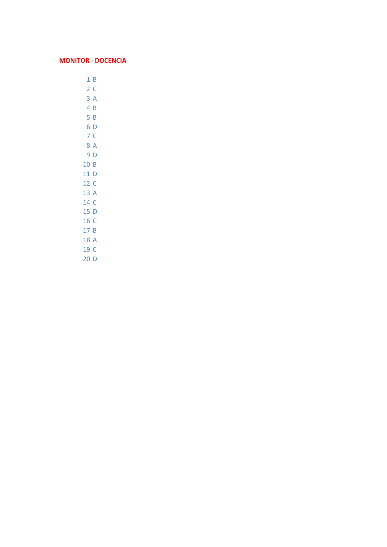## **MONITOR - DOCENCIA**

 $1B$  $2<sup>c</sup>$  $3A$  $4B$  $5B$ 6 D 7 C 8 A  $9D$ 10 B 11 D 12 C 13 A 14 C  $15D$ 16 C  $17B$ 18 A 19 C

 $20D$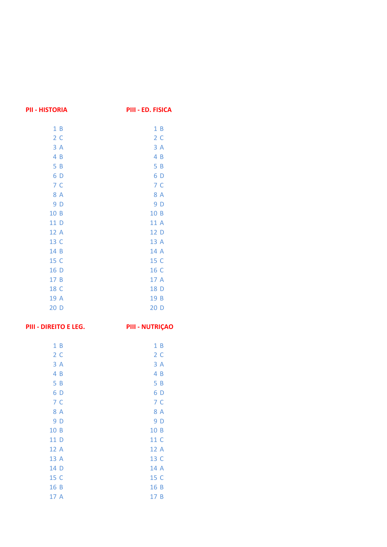| <b>PII - HISTORIA</b> | PIII - ED. FISICA      |
|-----------------------|------------------------|
| 1B                    | 1B                     |
| 2 <sub>c</sub>        | 2 <sub>c</sub>         |
| 3A                    | 3A                     |
| 4B                    | 4B                     |
| 5B                    | 5B                     |
| 6 D                   | 6 D                    |
| 7 <sup>c</sup>        | 7 <sup>c</sup>         |
| 8 A                   | 8 A                    |
| 9 D                   | 9 D                    |
| 10 B                  | 10 B                   |
| 11 D                  | 11 A                   |
| 12 A                  | 12 D                   |
| 13 C                  | 13 A                   |
| 14 B                  | 14 A                   |
| 15 C                  | 15 C                   |
| 16 D                  | 16 C                   |
| 17 B                  | 17 A                   |
| 18 C                  | 18 D                   |
| 19 A                  | 19 B                   |
| 20 D                  | 20 D                   |
| PIII - DIREITO E LEG. | <b>PIII - NUTRIÇAO</b> |
| 1B                    | 1B                     |
| 2 <sub>c</sub>        | 2 <sub>c</sub>         |
| 3A                    | 3A                     |
| 4B                    | 4B                     |
| 5B                    | 5B                     |
| 6 D                   | 6 D                    |
| 7 <sup>c</sup>        | 7 <sup>c</sup>         |
| 8 A                   | 8 A                    |

| 2C             | 2 C  |
|----------------|------|
| 3 A            | 3 A  |
| 4 B            | 4 B  |
| 5B             | 5B   |
| 6 D            | 6 D  |
| 7 <sup>C</sup> | 7 C  |
| 8 A            | 8 A  |
| 9 D            | 9 D  |
| 10 B           | 10 B |
| 11 D           | 11 C |
| 12 A           | 12 A |
| 13 A           | 13 C |
| 14 D           | 14 A |
| 15 C           | 15 C |
| 16 B           | 16 B |
| 17 A           | 17 B |